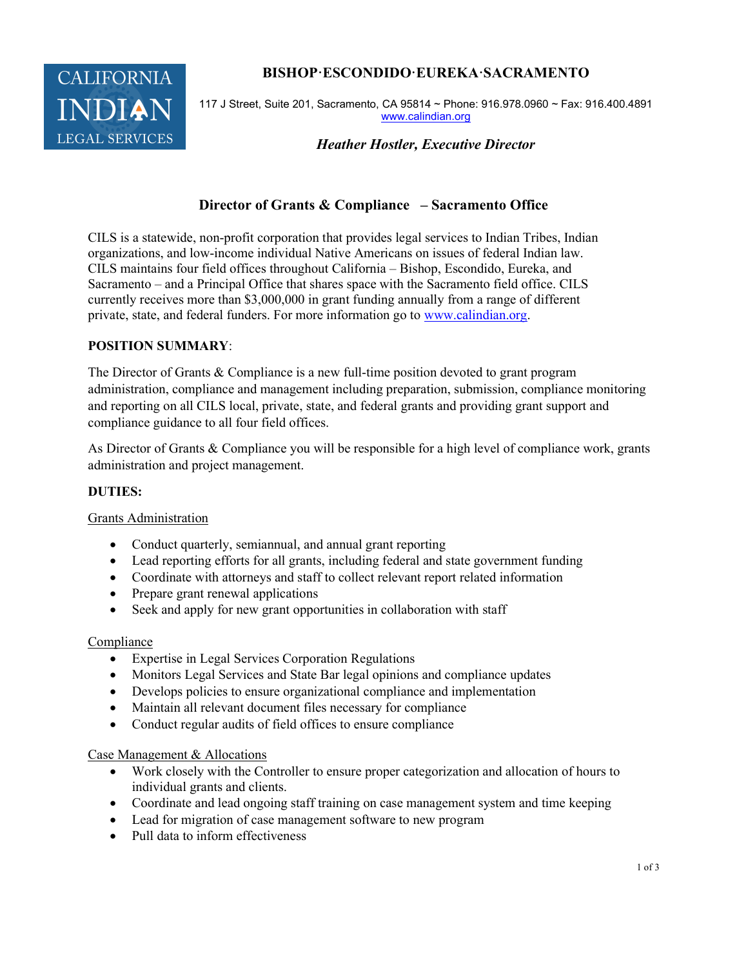

# BISHOP·ESCONDIDO·EUREKA·SACRAMENTO

117 J Street, Suite 201, Sacramento, CA 95814 ~ Phone: 916.978.0960 ~ Fax: 916.400.4891 www.calindian.org

Heather Hostler, Executive Director

# Director of Grants & Compliance – Sacramento Office

CILS is a statewide, non-profit corporation that provides legal services to Indian Tribes, Indian organizations, and low-income individual Native Americans on issues of federal Indian law. CILS maintains four field offices throughout California – Bishop, Escondido, Eureka, and Sacramento – and a Principal Office that shares space with the Sacramento field office. CILS currently receives more than \$3,000,000 in grant funding annually from a range of different private, state, and federal funders. For more information go to www.calindian.org.

## POSITION SUMMARY:

The Director of Grants & Compliance is a new full-time position devoted to grant program administration, compliance and management including preparation, submission, compliance monitoring and reporting on all CILS local, private, state, and federal grants and providing grant support and compliance guidance to all four field offices.

As Director of Grants & Compliance you will be responsible for a high level of compliance work, grants administration and project management.

## DUTIES:

## Grants Administration

- Conduct quarterly, semiannual, and annual grant reporting
- Lead reporting efforts for all grants, including federal and state government funding
- Coordinate with attorneys and staff to collect relevant report related information
- Prepare grant renewal applications
- Seek and apply for new grant opportunities in collaboration with staff

#### Compliance

- Expertise in Legal Services Corporation Regulations
- Monitors Legal Services and State Bar legal opinions and compliance updates
- Develops policies to ensure organizational compliance and implementation
- Maintain all relevant document files necessary for compliance
- Conduct regular audits of field offices to ensure compliance

## Case Management & Allocations

- Work closely with the Controller to ensure proper categorization and allocation of hours to individual grants and clients.
- Coordinate and lead ongoing staff training on case management system and time keeping
- Lead for migration of case management software to new program
- Pull data to inform effectiveness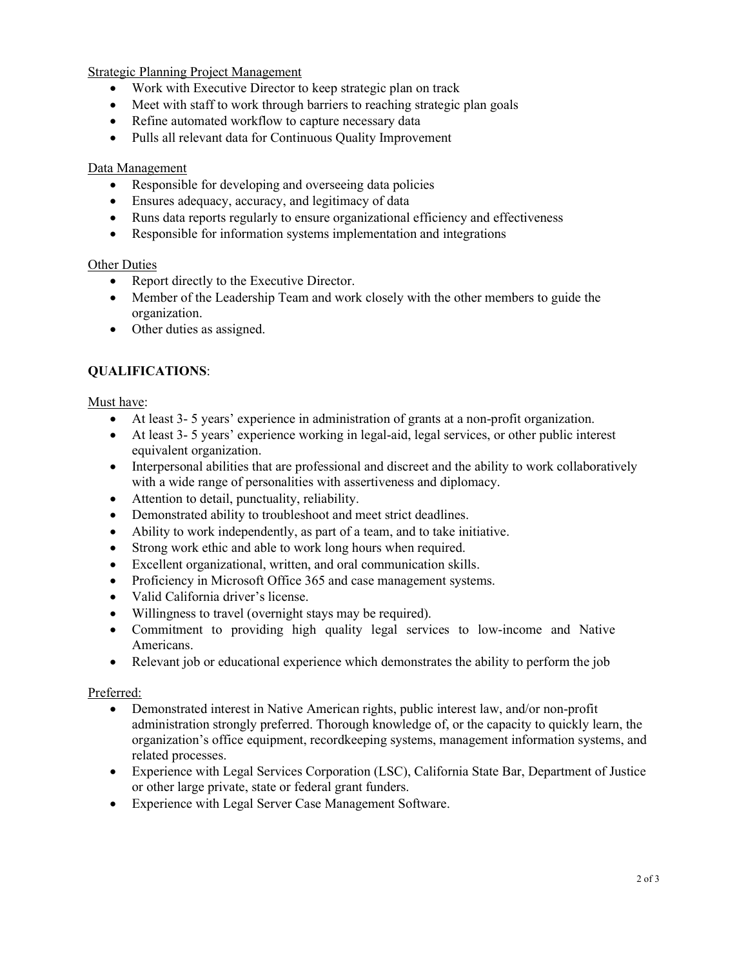Strategic Planning Project Management

- Work with Executive Director to keep strategic plan on track
- Meet with staff to work through barriers to reaching strategic plan goals
- Refine automated workflow to capture necessary data
- Pulls all relevant data for Continuous Quality Improvement

#### Data Management

- Responsible for developing and overseeing data policies
- Ensures adequacy, accuracy, and legitimacy of data
- Runs data reports regularly to ensure organizational efficiency and effectiveness
- Responsible for information systems implementation and integrations

#### Other Duties

- Report directly to the Executive Director.
- Member of the Leadership Team and work closely with the other members to guide the organization.
- Other duties as assigned.

## QUALIFICATIONS:

Must have:

- At least 3- 5 years' experience in administration of grants at a non-profit organization.
- At least 3- 5 years' experience working in legal-aid, legal services, or other public interest equivalent organization.
- Interpersonal abilities that are professional and discreet and the ability to work collaboratively with a wide range of personalities with assertiveness and diplomacy.
- Attention to detail, punctuality, reliability.
- Demonstrated ability to troubleshoot and meet strict deadlines.
- Ability to work independently, as part of a team, and to take initiative.
- Strong work ethic and able to work long hours when required.
- Excellent organizational, written, and oral communication skills.
- Proficiency in Microsoft Office 365 and case management systems.
- Valid California driver's license.
- Willingness to travel (overnight stays may be required).
- Commitment to providing high quality legal services to low-income and Native Americans.
- Relevant job or educational experience which demonstrates the ability to perform the job

## Preferred:

- Demonstrated interest in Native American rights, public interest law, and/or non-profit administration strongly preferred. Thorough knowledge of, or the capacity to quickly learn, the organization's office equipment, recordkeeping systems, management information systems, and related processes.
- Experience with Legal Services Corporation (LSC), California State Bar, Department of Justice or other large private, state or federal grant funders.
- Experience with Legal Server Case Management Software.